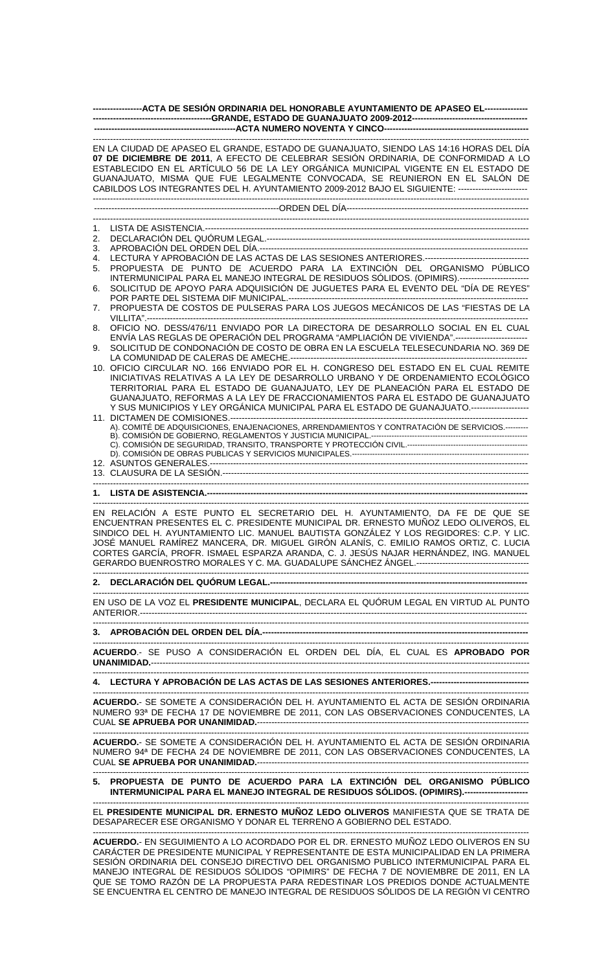| -----------------ACTA DE SESIÓN ORDINARIA DEL HONORABLE AYUNTAMIENTO DE APASEO EL---------------- |                                                                                                                                                                                                                                                                                                                                                                                                                                                          |  |  |  |  |  |  |
|---------------------------------------------------------------------------------------------------|----------------------------------------------------------------------------------------------------------------------------------------------------------------------------------------------------------------------------------------------------------------------------------------------------------------------------------------------------------------------------------------------------------------------------------------------------------|--|--|--|--|--|--|
|                                                                                                   |                                                                                                                                                                                                                                                                                                                                                                                                                                                          |  |  |  |  |  |  |
|                                                                                                   | EN LA CIUDAD DE APASEO EL GRANDE, ESTADO DE GUANAJUATO, SIENDO LAS 14:16 HORAS DEL DÍA<br>07 DE DICIEMBRE DE 2011, A EFECTO DE CELEBRAR SESIÓN ORDINARIA, DE CONFORMIDAD A LO<br>ESTABLECIDO EN EL ARTÍCULO 56 DE LA LEY ORGÁNICA MUNICIPAL VIGENTE EN EL ESTADO DE<br>GUANAJUATO, MISMA QUE FUE LEGALMENTE CONVOCADA, SE REUNIERON EN EL SALÓN DE<br>CABILDOS LOS INTEGRANTES DEL H. AYUNTAMIENTO 2009-2012 BAJO EL SIGUIENTE: ------------------------ |  |  |  |  |  |  |
|                                                                                                   |                                                                                                                                                                                                                                                                                                                                                                                                                                                          |  |  |  |  |  |  |
| 1.                                                                                                |                                                                                                                                                                                                                                                                                                                                                                                                                                                          |  |  |  |  |  |  |
| 2.                                                                                                |                                                                                                                                                                                                                                                                                                                                                                                                                                                          |  |  |  |  |  |  |
| 3.<br>4.                                                                                          | LECTURA Y APROBACIÓN DE LAS ACTAS DE LAS SESIONES ANTERIORES.----------------------------------                                                                                                                                                                                                                                                                                                                                                          |  |  |  |  |  |  |
| 5.<br>6.                                                                                          | PROPUESTA DE PUNTO DE ACUERDO PARA LA EXTINCIÓN DEL ORGANISMO PÚBLICO<br>INTERMUNICIPAL PARA EL MANEJO INTEGRAL DE RESIDUOS SÓLIDOS. (OPIMIRS).------------------------<br>SOLICITUD DE APOYO PARA ADQUISICIÓN DE JUGUETES PARA EL EVENTO DEL "DÍA DE REYES"                                                                                                                                                                                             |  |  |  |  |  |  |
|                                                                                                   |                                                                                                                                                                                                                                                                                                                                                                                                                                                          |  |  |  |  |  |  |
| 7.                                                                                                | PROPUESTA DE COSTOS DE PULSERAS PARA LOS JUEGOS MECÁNICOS DE LAS "FIESTAS DE LA                                                                                                                                                                                                                                                                                                                                                                          |  |  |  |  |  |  |
| 8.<br>9.                                                                                          | OFICIO NO. DESS/476/11 ENVIADO POR LA DIRECTORA DE DESARROLLO SOCIAL EN EL CUAL<br>ENVÍA LAS REGLAS DE OPERACIÓN DEL PROGRAMA "AMPLIACIÓN DE VIVIENDA".-------------------------<br>SOLICITUD DE CONDONACIÓN DE COSTO DE OBRA EN LA ESCUELA TELESECUNDARIA NO. 369 DE                                                                                                                                                                                    |  |  |  |  |  |  |
|                                                                                                   | 10. OFICIO CIRCULAR NO. 166 ENVIADO POR EL H. CONGRESO DEL ESTADO EN EL CUAL REMITE<br>INICIATIVAS RELATIVAS A LA LEY DE DESARROLLO URBANO Y DE ORDENAMIENTO ECOLÓGICO<br>TERRITORIAL PARA EL ESTADO DE GUANAJUATO, LEY DE PLANEACIÓN PARA EL ESTADO DE<br>GUANAJUATO, REFORMAS A LA LEY DE FRACCIONAMIENTOS PARA EL ESTADO DE GUANAJUATO                                                                                                                |  |  |  |  |  |  |
|                                                                                                   | Y SUS MUNICIPIOS Y LEY ORGÁNICA MUNICIPAL PARA EL ESTADO DE GUANAJUATO.-------------------<br>A). COMITÉ DE ADQUISICIONES, ENAJENACIONES, ARRENDAMIENTOS Y CONTRATACIÓN DE SERVICIOS.---------                                                                                                                                                                                                                                                           |  |  |  |  |  |  |
|                                                                                                   |                                                                                                                                                                                                                                                                                                                                                                                                                                                          |  |  |  |  |  |  |
|                                                                                                   |                                                                                                                                                                                                                                                                                                                                                                                                                                                          |  |  |  |  |  |  |
|                                                                                                   |                                                                                                                                                                                                                                                                                                                                                                                                                                                          |  |  |  |  |  |  |
|                                                                                                   |                                                                                                                                                                                                                                                                                                                                                                                                                                                          |  |  |  |  |  |  |
|                                                                                                   | EN RELACIÓN A ESTE PUNTO EL SECRETARIO DEL H. AYUNTAMIENTO, DA FE DE QUE SE<br>ENCUENTRAN PRESENTES EL C. PRESIDENTE MUNICIPAL DR. ERNESTO MUÑOZ LEDO OLIVEROS, EL<br>SINDICO DEL H. AYUNTAMIENTO LIC. MANUEL BAUTISTA GONZÁLEZ Y LOS REGIDORES: C.P. Y LIC.<br>JOSÉ MANUEL RAMÍREZ MANCERA, DR. MIGUEL GIRÓN ALANÍS, C. EMILIO RAMOS ORTIZ, C. LUCIA<br>CORTES GARCÍA, PROFR. ISMAEL ESPARZA ARANDA, C. J. JESÚS NAJAR HERNÁNDEZ, ING. MANUEL           |  |  |  |  |  |  |
|                                                                                                   |                                                                                                                                                                                                                                                                                                                                                                                                                                                          |  |  |  |  |  |  |
|                                                                                                   | EN USO DE LA VOZ EL PRESIDENTE MUNICIPAL, DECLARA EL QUÓRUM LEGAL EN VIRTUD AL PUNTO                                                                                                                                                                                                                                                                                                                                                                     |  |  |  |  |  |  |
|                                                                                                   |                                                                                                                                                                                                                                                                                                                                                                                                                                                          |  |  |  |  |  |  |
|                                                                                                   | ACUERDO.- SE PUSO A CONSIDERACIÓN EL ORDEN DEL DÍA, EL CUAL ES APROBADO POR                                                                                                                                                                                                                                                                                                                                                                              |  |  |  |  |  |  |
|                                                                                                   | 4. LECTURA Y APROBACIÓN DE LAS ACTAS DE LAS SESIONES ANTERIORES.-----------------------------------                                                                                                                                                                                                                                                                                                                                                      |  |  |  |  |  |  |
|                                                                                                   | ACUERDO.- SE SOMETE A CONSIDERACIÓN DEL H. AYUNTAMIENTO EL ACTA DE SESIÓN ORDINARIA<br>NUMERO 93ª DE FECHA 17 DE NOVIEMBRE DE 2011, CON LAS OBSERVACIONES CONDUCENTES, LA                                                                                                                                                                                                                                                                                |  |  |  |  |  |  |
|                                                                                                   | ACUERDO.- SE SOMETE A CONSIDERACIÓN DEL H. AYUNTAMIENTO EL ACTA DE SESIÓN ORDINARIA<br>NUMERO 94ª DE FECHA 24 DE NOVIEMBRE DE 2011, CON LAS OBSERVACIONES CONDUCENTES, LA                                                                                                                                                                                                                                                                                |  |  |  |  |  |  |
|                                                                                                   | 5. PROPUESTA DE PUNTO DE ACUERDO PARA LA EXTINCIÓN DEL ORGANISMO PÚBLICO<br>INTERMUNICIPAL PARA EL MANEJO INTEGRAL DE RESIDUOS SÓLIDOS. (OPIMIRS).----------------------                                                                                                                                                                                                                                                                                 |  |  |  |  |  |  |
|                                                                                                   | EL PRESIDENTE MUNICIPAL DR. ERNESTO MUÑOZ LEDO OLIVEROS MANIFIESTA QUE SE TRATA DE<br>DESAPARECER ESE ORGANISMO Y DONAR EL TERRENO A GOBIERNO DEL ESTADO.                                                                                                                                                                                                                                                                                                |  |  |  |  |  |  |
|                                                                                                   |                                                                                                                                                                                                                                                                                                                                                                                                                                                          |  |  |  |  |  |  |

**ACUERDO.**- EN SEGUIMIENTO A LO ACORDADO POR EL DR. ERNESTO MUÑOZ LEDO OLIVEROS EN SU CARÁCTER DE PRESIDENTE MUNICIPAL Y REPRESENTANTE DE ESTA MUNICIPALIDAD EN LA PRIMERA SESIÓN ORDINARIA DEL CONSEJO DIRECTIVO DEL ORGANISMO PUBLICO INTERMUNICIPAL PARA EL MANEJO INTEGRAL DE RESIDUOS SÓLIDOS "OPIMIRS" DE FECHA 7 DE NOVIEMBRE DE 2011, EN LA QUE SE TOMO RAZÓN DE LA PROPUESTA PARA REDESTINAR LOS PREDIOS DONDE ACTUALMENTE SE ENCUENTRA EL CENTRO DE MANEJO INTEGRAL DE RESIDUOS SÓLIDOS DE LA REGIÓN VI CENTRO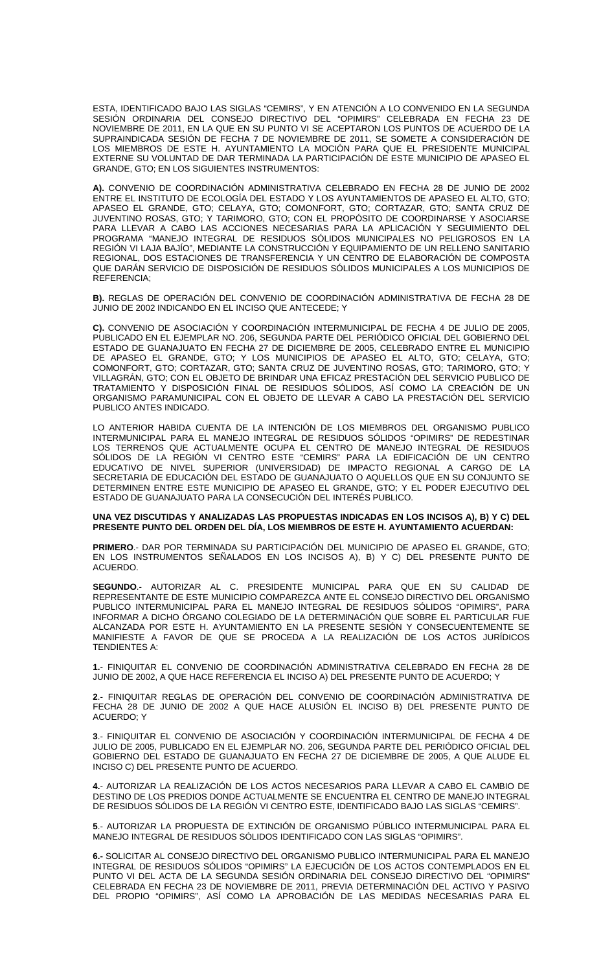ESTA, IDENTIFICADO BAJO LAS SIGLAS "CEMIRS", Y EN ATENCIÓN A LO CONVENIDO EN LA SEGUNDA SESIÓN ORDINARIA DEL CONSEJO DIRECTIVO DEL "OPIMIRS" CELEBRADA EN FECHA 23 DE NOVIEMBRE DE 2011, EN LA QUE EN SU PUNTO VI SE ACEPTARON LOS PUNTOS DE ACUERDO DE LA SUPRAINDICADA SESIÓN DE FECHA 7 DE NOVIEMBRE DE 2011, SE SOMETE A CONSIDERACIÓN DE LOS MIEMBROS DE ESTE H. AYUNTAMIENTO LA MOCIÓN PARA QUE EL PRESIDENTE MUNICIPAL EXTERNE SU VOLUNTAD DE DAR TERMINADA LA PARTICIPACIÓN DE ESTE MUNICIPIO DE APASEO EL GRANDE, GTO; EN LOS SIGUIENTES INSTRUMENTOS:

**A).** CONVENIO DE COORDINACIÓN ADMINISTRATIVA CELEBRADO EN FECHA 28 DE JUNIO DE 2002 ENTRE EL INSTITUTO DE ECOLOGÍA DEL ESTADO Y LOS AYUNTAMIENTOS DE APASEO EL ALTO, GTO; APASEO EL GRANDE, GTO; CELAYA, GTO; COMONFORT, GTO; CORTAZAR, GTO; SANTA CRUZ DE JUVENTINO ROSAS, GTO; Y TARIMORO, GTO; CON EL PROPÓSITO DE COORDINARSE Y ASOCIARSE PARA LLEVAR A CABO LAS ACCIONES NECESARIAS PARA LA APLICACIÓN Y SEGUIMIENTO DEL PROGRAMA "MANEJO INTEGRAL DE RESIDUOS SÓLIDOS MUNICIPALES NO PELIGROSOS EN LA REGIÓN VI LAJA BAJÍO", MEDIANTE LA CONSTRUCCIÓN Y EQUIPAMIENTO DE UN RELLENO SANITARIO REGIONAL, DOS ESTACIONES DE TRANSFERENCIA Y UN CENTRO DE ELABORACIÓN DE COMPOSTA QUE DARÁN SERVICIO DE DISPOSICIÓN DE RESIDUOS SÓLIDOS MUNICIPALES A LOS MUNICIPIOS DE REFERENCIA;

**B).** REGLAS DE OPERACIÓN DEL CONVENIO DE COORDINACIÓN ADMINISTRATIVA DE FECHA 28 DE JUNIO DE 2002 INDICANDO EN EL INCISO QUE ANTECEDE; Y

**C).** CONVENIO DE ASOCIACIÓN Y COORDINACIÓN INTERMUNICIPAL DE FECHA 4 DE JULIO DE 2005, PUBLICADO EN EL EJEMPLAR NO. 206, SEGUNDA PARTE DEL PERIÓDICO OFICIAL DEL GOBIERNO DEL ESTADO DE GUANAJUATO EN FECHA 27 DE DICIEMBRE DE 2005, CELEBRADO ENTRE EL MUNICIPIO DE APASEO EL GRANDE, GTO; Y LOS MUNICIPIOS DE APASEO EL ALTO, GTO; CELAYA, GTO; COMONFORT, GTO; CORTAZAR, GTO; SANTA CRUZ DE JUVENTINO ROSAS, GTO; TARIMORO, GTO; Y VILLAGRÁN, GTO; CON EL OBJETO DE BRINDAR UNA EFICAZ PRESTACIÓN DEL SERVICIO PUBLICO DE TRATAMIENTO Y DISPOSICIÓN FINAL DE RESIDUOS SÓLIDOS, ASÍ COMO LA CREACIÓN DE UN ORGANISMO PARAMUNICIPAL CON EL OBJETO DE LLEVAR A CABO LA PRESTACIÓN DEL SERVICIO PUBLICO ANTES INDICADO.

LO ANTERIOR HABIDA CUENTA DE LA INTENCIÓN DE LOS MIEMBROS DEL ORGANISMO PUBLICO INTERMUNICIPAL PARA EL MANEJO INTEGRAL DE RESIDUOS SÓLIDOS "OPIMIRS" DE REDESTINAR LOS TERRENOS QUE ACTUALMENTE OCUPA EL CENTRO DE MANEJO INTEGRAL DE RESIDUOS SÓLIDOS DE LA REGIÓN VI CENTRO ESTE "CEMIRS" PARA LA EDIFICACIÓN DE UN CENTRO EDUCATIVO DE NIVEL SUPERIOR (UNIVERSIDAD) DE IMPACTO REGIONAL A CARGO DE LA SECRETARIA DE EDUCACIÓN DEL ESTADO DE GUANAJUATO O AQUELLOS QUE EN SU CONJUNTO SE DETERMINEN ENTRE ESTE MUNICIPIO DE APASEO EL GRANDE, GTO; Y EL PODER EJECUTIVO DEL ESTADO DE GUANAJUATO PARA LA CONSECUCIÓN DEL INTERÉS PUBLICO.

## **UNA VEZ DISCUTIDAS Y ANALIZADAS LAS PROPUESTAS INDICADAS EN LOS INCISOS A), B) Y C) DEL PRESENTE PUNTO DEL ORDEN DEL DÍA, LOS MIEMBROS DE ESTE H. AYUNTAMIENTO ACUERDAN:**

**PRIMERO**.- DAR POR TERMINADA SU PARTICIPACIÓN DEL MUNICIPIO DE APASEO EL GRANDE, GTO; EN LOS INSTRUMENTOS SEÑALADOS EN LOS INCISOS A), B) Y C) DEL PRESENTE PUNTO DE ACUERDO.

**SEGUNDO**.- AUTORIZAR AL C. PRESIDENTE MUNICIPAL PARA QUE EN SU CALIDAD DE REPRESENTANTE DE ESTE MUNICIPIO COMPAREZCA ANTE EL CONSEJO DIRECTIVO DEL ORGANISMO PUBLICO INTERMUNICIPAL PARA EL MANEJO INTEGRAL DE RESIDUOS SÓLIDOS "OPIMIRS", PARA INFORMAR A DICHO ÓRGANO COLEGIADO DE LA DETERMINACIÓN QUE SOBRE EL PARTICULAR FUE ALCANZADA POR ESTE H. AYUNTAMIENTO EN LA PRESENTE SESIÓN Y CONSECUENTEMENTE SE MANIFIESTE A FAVOR DE QUE SE PROCEDA A LA REALIZACIÓN DE LOS ACTOS JURÍDICOS TENDIENTES A:

**1.**- FINIQUITAR EL CONVENIO DE COORDINACIÓN ADMINISTRATIVA CELEBRADO EN FECHA 28 DE JUNIO DE 2002, A QUE HACE REFERENCIA EL INCISO A) DEL PRESENTE PUNTO DE ACUERDO; Y

**2**.- FINIQUITAR REGLAS DE OPERACIÓN DEL CONVENIO DE COORDINACIÓN ADMINISTRATIVA DE FECHA 28 DE JUNIO DE 2002 A QUE HACE ALUSIÓN EL INCISO B) DEL PRESENTE PUNTO DE ACUERDO; Y

**3**.- FINIQUITAR EL CONVENIO DE ASOCIACIÓN Y COORDINACIÓN INTERMUNICIPAL DE FECHA 4 DE JULIO DE 2005, PUBLICADO EN EL EJEMPLAR NO. 206, SEGUNDA PARTE DEL PERIÓDICO OFICIAL DEL GOBIERNO DEL ESTADO DE GUANAJUATO EN FECHA 27 DE DICIEMBRE DE 2005, A QUE ALUDE EL INCISO C) DEL PRESENTE PUNTO DE ACUERDO.

**4.**- AUTORIZAR LA REALIZACIÓN DE LOS ACTOS NECESARIOS PARA LLEVAR A CABO EL CAMBIO DE DESTINO DE LOS PREDIOS DONDE ACTUALMENTE SE ENCUENTRA EL CENTRO DE MANEJO INTEGRAL DE RESIDUOS SÓLIDOS DE LA REGIÓN VI CENTRO ESTE, IDENTIFICADO BAJO LAS SIGLAS "CEMIRS".

**5**.- AUTORIZAR LA PROPUESTA DE EXTINCIÓN DE ORGANISMO PÚBLICO INTERMUNICIPAL PARA EL MANEJO INTEGRAL DE RESIDUOS SÓLIDOS IDENTIFICADO CON LAS SIGLAS "OPIMIRS".

**6.-** SOLICITAR AL CONSEJO DIRECTIVO DEL ORGANISMO PUBLICO INTERMUNICIPAL PARA EL MANEJO INTEGRAL DE RESIDUOS SÓLIDOS "OPIMIRS" LA EJECUCIÓN DE LOS ACTOS CONTEMPLADOS EN EL PUNTO VI DEL ACTA DE LA SEGUNDA SESIÓN ORDINARIA DEL CONSEJO DIRECTIVO DEL "OPIMIRS" CELEBRADA EN FECHA 23 DE NOVIEMBRE DE 2011, PREVIA DETERMINACIÓN DEL ACTIVO Y PASIVO DEL PROPIO "OPIMIRS", ASÍ COMO LA APROBACIÓN DE LAS MEDIDAS NECESARIAS PARA EL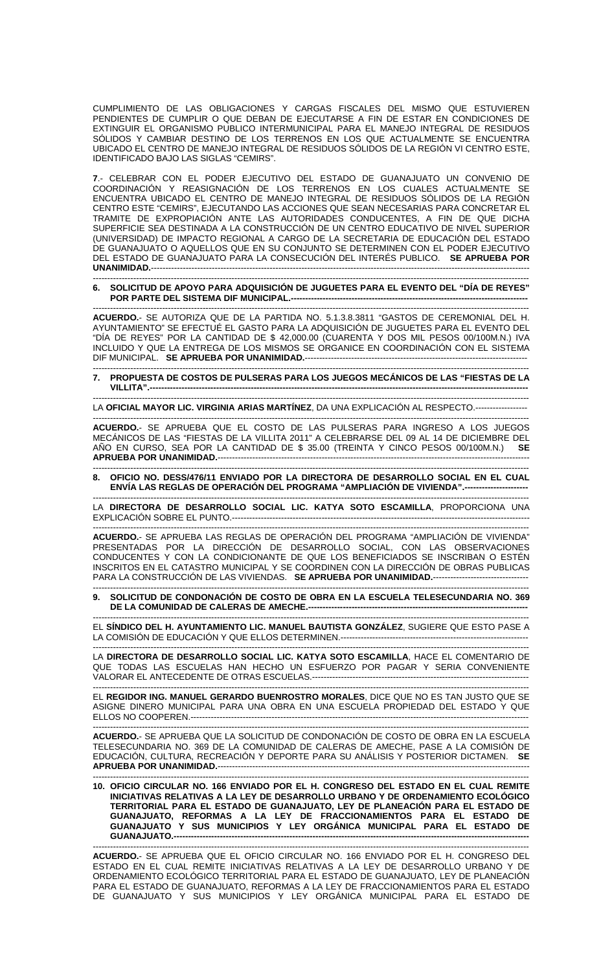CUMPLIMIENTO DE LAS OBLIGACIONES Y CARGAS FISCALES DEL MISMO QUE ESTUVIEREN PENDIENTES DE CUMPLIR O QUE DEBAN DE EJECUTARSE A FIN DE ESTAR EN CONDICIONES DE EXTINGUIR EL ORGANISMO PUBLICO INTERMUNICIPAL PARA EL MANEJO INTEGRAL DE RESIDUOS SÓLIDOS Y CAMBIAR DESTINO DE LOS TERRENOS EN LOS QUE ACTUALMENTE SE ENCUENTRA UBICADO EL CENTRO DE MANEJO INTEGRAL DE RESIDUOS SÓLIDOS DE LA REGIÓN VI CENTRO ESTE, IDENTIFICADO BAJO LAS SIGLAS "CEMIRS".

**7**.- CELEBRAR CON EL PODER EJECUTIVO DEL ESTADO DE GUANAJUATO UN CONVENIO DE COORDINACIÓN Y REASIGNACIÓN DE LOS TERRENOS EN LOS CUALES ACTUALMENTE SE ENCUENTRA UBICADO EL CENTRO DE MANEJO INTEGRAL DE RESIDUOS SÓLIDOS DE LA REGIÓN CENTRO ESTE "CEMIRS", EJECUTANDO LAS ACCIONES QUE SEAN NECESARIAS PARA CONCRETAR EL TRAMITE DE EXPROPIACIÓN ANTE LAS AUTORIDADES CONDUCENTES, A FIN DE QUE DICHA SUPERFICIE SEA DESTINADA A LA CONSTRUCCIÓN DE UN CENTRO EDUCATIVO DE NIVEL SUPERIOR (UNIVERSIDAD) DE IMPACTO REGIONAL A CARGO DE LA SECRETARIA DE EDUCACIÓN DEL ESTADO DE GUANAJUATO O AQUELLOS QUE EN SU CONJUNTO SE DETERMINEN CON EL PODER EJECUTIVO DEL ESTADO DE GUANAJUATO PARA LA CONSECUCIÓN DEL INTERÉS PUBLICO. **SE APRUEBA POR UNANIMIDAD.---**

## ------------------------------------------------------------------------------------------------------------------------------------------------------- **6. SOLICITUD DE APOYO PARA ADQUISICIÓN DE JUGUETES PARA EL EVENTO DEL "DÍA DE REYES" POR PARTE DEL SISTEMA DIF MUNICIPAL.----------------------------------------------------------------------------------**

------------------------------------------------------------------------------------------------------------------------------------------------------- **ACUERDO.**- SE AUTORIZA QUE DE LA PARTIDA NO. 5.1.3.8.3811 "GASTOS DE CEREMONIAL DEL H. AYUNTAMIENTO" SE EFECTUÉ EL GASTO PARA LA ADQUISICIÓN DE JUGUETES PARA EL EVENTO DEL "DÍA DE REYES" POR LA CANTIDAD DE \$ 42,000.00 (CUARENTA Y DOS MIL PESOS 00/100M.N.) IVA INCLUIDO Y QUE LA ENTREGA DE LOS MISMOS SE ORGANICE EN COORDINACIÓN CON EL SISTEMA DIF MUNICIPAL. SE APRUEBA POR UNANIMIDAD.---------------

------------------------------------------------------------------------------------------------------------------------------------------------------- **7. PROPUESTA DE COSTOS DE PULSERAS PARA LOS JUEGOS MECÁNICOS DE LAS "FIESTAS DE LA VILLITA".---**

------------------------------------------------------------------------------------------------------------------------------------------------------- LA **OFICIAL MAYOR LIC. VIRGINIA ARIAS MARTÍNEZ**, DA UNA EXPLICACIÓN AL RESPECTO.------------------

------------------------------------------------------------------------------------------------------------------------------------------------------- **ACUERDO.**- SE APRUEBA QUE EL COSTO DE LAS PULSERAS PARA INGRESO A LOS JUEGOS MECÁNICOS DE LAS "FIESTAS DE LA VILLITA 2011" A CELEBRARSE DEL 09 AL 14 DE DICIEMBRE DEL<br>AÑO EN CURSO, SEA POR LA CANTIDAD DE \$ 35.00 (TREINTA Y CINCO PESOS 00/100M.N.) SE AÑO EN CURSO, SEA POR LA CANTIDAD DE \$ 35.00 (TREINTA Y CINCO PESOS 00/100M.N.) **APRUEBA POR UNANIMIDAD.----**

------------------------------------------------------------------------------------------------------------------------------------------------------- **8. OFICIO NO. DESS/476/11 ENVIADO POR LA DIRECTORA DE DESARROLLO SOCIAL EN EL CUAL ENVÍA LAS REGLAS DE OPERACIÓN DEL PROGRAMA "AMPLIACIÓN DE VIVIENDA".----------------------** 

------------------------------------------------------------------------------------------------------------------------------------------------------- LA **DIRECTORA DE DESARROLLO SOCIAL LIC. KATYA SOTO ESCAMILLA**, PROPORCIONA UNA EXPLICACIÓN SOBRE EL PUNTO.-------------------------------------------------------------------------------------------------------

-------------------------------------------------------------------------------------------------------------------------------------------------------

**ACUERDO.**- SE APRUEBA LAS REGLAS DE OPERACIÓN DEL PROGRAMA "AMPLIACIÓN DE VIVIENDA" PRESENTADAS POR LA DIRECCIÓN DE DESARROLLO SOCIAL, CON LAS OBSERVACIONES CONDUCENTES Y CON LA CONDICIONANTE DE QUE LOS BENEFICIADOS SE INSCRIBAN O ESTÉN INSCRITOS EN EL CATASTRO MUNICIPAL Y SE COORDINEN CON LA DIRECCIÓN DE OBRAS PUBLICAS PARA LA CONSTRUCCIÓN DE LAS VIVIENDAS. **SE APRUEBA POR UNANIMIDAD.**---------------------------------

## ------------------------------------------------------------------------------------------------------------------------------------------------------- **9. SOLICITUD DE CONDONACIÓN DE COSTO DE OBRA EN LA ESCUELA TELESECUNDARIA NO. 369 DE LA COMUNIDAD DE CALERAS DE AMECHE.---**

------------------------------------------------------------------------------------------------------------------------------------------------------- EL **SÍNDICO DEL H. AYUNTAMIENTO LIC. MANUEL BAUTISTA GONZÁLEZ**, SUGIERE QUE ESTO PASE A LA COMISIÓN DE EDUCACIÓN Y QUE ELLOS DETERMINEN.-----------------------------------------------------------------

------------------------------------------------------------------------------------------------------------------------------------------------------- LA **DIRECTORA DE DESARROLLO SOCIAL LIC. KATYA SOTO ESCAMILLA**, HACE EL COMENTARIO DE QUE TODAS LAS ESCUELAS HAN HECHO UN ESFUERZO POR PAGAR Y SERIA CONVENIENTE VALORAR EL ANTECEDENTE DE OTRAS ESCUELAS.---------------------------------------------------------------------------

------------------------------------------------------------------------------------------------------------------------------------------------------- EL **REGIDOR ING. MANUEL GERARDO BUENROSTRO MORALES**, DICE QUE NO ES TAN JUSTO QUE SE ASIGNE DINERO MUNICIPAL PARA UNA OBRA EN UNA ESCUELA PROPIEDAD DEL ESTADO Y QUE ELLOS NO COOPEREN.--------------------------------------------------------------------------------------------------------------------- -------------------------------------------------------------------------------------------------------------------------------------------------------

**ACUERDO.**- SE APRUEBA QUE LA SOLICITUD DE CONDONACIÓN DE COSTO DE OBRA EN LA ESCUELA TELESECUNDARIA NO. 369 DE LA COMUNIDAD DE CALERAS DE AMECHE, PASE A LA COMISIÓN DE EDUCACIÓN, CULTURA, RECREACIÓN Y DEPORTE PARA SU ANÁLISIS Y POSTERIOR DICTAMEN. **SE APRUEBA POR UNANIMIDAD.----**

------------------------------------------------------------------------------------------------------------------------------------------------------- **10. OFICIO CIRCULAR NO. 166 ENVIADO POR EL H. CONGRESO DEL ESTADO EN EL CUAL REMITE INICIATIVAS RELATIVAS A LA LEY DE DESARROLLO URBANO Y DE ORDENAMIENTO ECOLÓGICO TERRITORIAL PARA EL ESTADO DE GUANAJUATO, LEY DE PLANEACIÓN PARA EL ESTADO DE GUANAJUATO, REFORMAS A LA LEY DE FRACCIONAMIENTOS PARA EL ESTADO DE GUANAJUATO Y SUS MUNICIPIOS Y LEY ORGÁNICA MUNICIPAL PARA EL ESTADO DE GUANAJUATO.--**

------------------------------------------------------------------------------------------------------------------------------------------------------- **ACUERDO.**- SE APRUEBA QUE EL OFICIO CIRCULAR NO. 166 ENVIADO POR EL H. CONGRESO DEL ESTADO EN EL CUAL REMITE INICIATIVAS RELATIVAS A LA LEY DE DESARROLLO URBANO Y DE ORDENAMIENTO ECOLÓGICO TERRITORIAL PARA EL ESTADO DE GUANAJUATO, LEY DE PLANEACIÓN PARA EL ESTADO DE GUANAJUATO, REFORMAS A LA LEY DE FRACCIONAMIENTOS PARA EL ESTADO DE GUANAJUATO Y SUS MUNICIPIOS Y LEY ORGÁNICA MUNICIPAL PARA EL ESTADO DE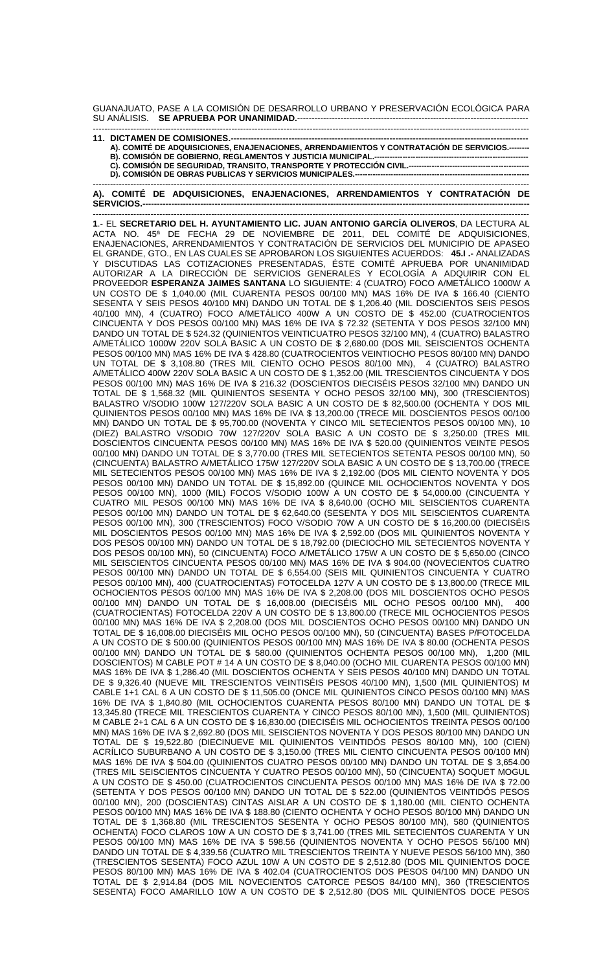GUANAJUATO, PASE A LA COMISIÓN DE DESARROLLO URBANO Y PRESERVACIÓN ECOLÓGICA PARA SU ANÁLISIS. **SE APRUEBA POR UNANIMIDAD.**--------------------------------------------------------------------------------

| A). COMITÉ DE ADQUISICIONES, ENAJENACIONES, ARRENDAMIENTOS Y CONTRATACIÓN DE SERVICIOS.------- |
|------------------------------------------------------------------------------------------------|
|                                                                                                |
|                                                                                                |
|                                                                                                |
|                                                                                                |

------------------------------------------------------------------------------------------------------------------------------------------------------- **A). COMITÉ DE ADQUISICIONES, ENAJENACIONES, ARRENDAMIENTOS Y CONTRATACIÓN DE**  SERVICIOS.-

------------------------------------------------------------------------------------------------------------------------------------------------------- **1**.- EL **SECRETARIO DEL H. AYUNTAMIENTO LIC. JUAN ANTONIO GARCÍA OLIVEROS**, DA LECTURA AL ACTA NO. 45ª DE FECHA 29 DE NOVIEMBRE DE 2011, DEL COMITÉ DE ADQUISICIONES, ENAJENACIONES, ARRENDAMIENTOS Y CONTRATACIÓN DE SERVICIOS DEL MUNICIPIO DE APASEO EL GRANDE, GTO., EN LAS CUALES SE APROBARON LOS SIGUIENTES ACUERDOS: **45.I .-** ANALIZADAS Y DISCUTIDAS LAS COTIZACIONES PRESENTADAS, ÉSTE COMITÉ APRUEBA POR UNANIMIDAD AUTORIZAR A LA DIRECCIÓN DE SERVICIOS GENERALES Y ECOLOGÍA A ADQUIRIR CON EL PROVEEDOR **ESPERANZA JAIMES SANTANA** LO SIGUIENTE: 4 (CUATRO) FOCO A/METÁLICO 1000W A UN COSTO DE \$ 1,040.00 (MIL CUARENTA PESOS 00/100 MN) MAS 16% DE IVA \$ 166.40 (CIENTO SESENTA Y SEIS PESOS 40/100 MN) DANDO UN TOTAL DE \$ 1,206.40 (MIL DOSCIENTOS SEIS PESOS 40/100 MN), 4 (CUATRO) FOCO A/METÁLICO 400W A UN COSTO DE \$ 452.00 (CUATROCIENTOS CINCUENTA Y DOS PESOS 00/100 MN) MAS 16% DE IVA \$ 72.32 (SETENTA Y DOS PESOS 32/100 MN) DANDO UN TOTAL DE \$ 524.32 (QUINIENTOS VEINTICUATRO PESOS 32/100 MN), 4 (CUATRO) BALASTRO A/METÁLICO 1000W 220V SOLA BASIC A UN COSTO DE \$ 2,680.00 (DOS MIL SEISCIENTOS OCHENTA PESOS 00/100 MN) MAS 16% DE IVA \$ 428.80 (CUATROCIENTOS VEINTIOCHO PESOS 80/100 MN) DANDO UN TOTAL DE \$ 3,108.80 (TRES MIL CIENTO OCHO PESOS 80/100 MN), 4 (CUATRO) BALASTRO A/METÁLICO 400W 220V SOLA BASIC A UN COSTO DE \$ 1,352.00 (MIL TRESCIENTOS CINCUENTA Y DOS PESOS 00/100 MN) MAS 16% DE IVA \$ 216.32 (DOSCIENTOS DIECISÉIS PESOS 32/100 MN) DANDO UN TOTAL DE \$ 1,568.32 (MIL QUINIENTOS SESENTA Y OCHO PESOS 32/100 MN), 300 (TRESCIENTOS) BALASTRO V/SODIO 100W 127/220V SOLA BASIC A UN COSTO DE \$ 82,500.00 (OCHENTA Y DOS MIL QUINIENTOS PESOS 00/100 MN) MAS 16% DE IVA \$ 13,200.00 (TRECE MIL DOSCIENTOS PESOS 00/100 MN) DANDO UN TOTAL DE \$ 95,700.00 (NOVENTA Y CINCO MIL SETECIENTOS PESOS 00/100 MN), 10 (DIEZ) BALASTRO V/SODIO 70W 127/220V SOLA BASIC A UN COSTO DE \$ 3,250.00 (TRES MIL DOSCIENTOS CINCUENTA PESOS 00/100 MN) MAS 16% DE IVA \$ 520.00 (QUINIENTOS VEINTE PESOS 00/100 MN) DANDO UN TOTAL DE \$ 3,770.00 (TRES MIL SETECIENTOS SETENTA PESOS 00/100 MN), 50 (CINCUENTA) BALASTRO A/METÁLICO 175W 127/220V SOLA BASIC A UN COSTO DE \$ 13,700.00 (TRECE MIL SETECIENTOS PESOS 00/100 MN) MAS 16% DE IVA \$ 2,192.00 (DOS MIL CIENTO NOVENTA Y DOS PESOS 00/100 MN) DANDO UN TOTAL DE \$ 15,892.00 (QUINCE MIL OCHOCIENTOS NOVENTA Y DOS PESOS 00/100 MN), 1000 (MIL) FOCOS V/SODIO 100W A UN COSTO DE \$ 54,000.00 (CINCUENTA Y CUATRO MIL PESOS 00/100 MN) MAS 16% DE IVA \$ 8,640.00 (OCHO MIL SEISCIENTOS CUARENTA PESOS 00/100 MN) DANDO UN TOTAL DE \$ 62,640.00 (SESENTA Y DOS MIL SEISCIENTOS CUARENTA PESOS 00/100 MN), 300 (TRESCIENTOS) FOCO V/SODIO 70W A UN COSTO DE \$ 16,200.00 (DIECISÉIS MIL DOSCIENTOS PESOS 00/100 MN) MAS 16% DE IVA \$ 2,592.00 (DOS MIL QUINIENTOS NOVENTA Y DOS PESOS 00/100 MN) DANDO UN TOTAL DE \$ 18,792.00 (DIECIOCHO MIL SETECIENTOS NOVENTA Y DOS PESOS 00/100 MN), 50 (CINCUENTA) FOCO A/METÁLICO 175W A UN COSTO DE \$ 5,650.00 (CINCO MIL SEISCIENTOS CINCUENTA PESOS 00/100 MN) MAS 16% DE IVA \$ 904.00 (NOVECIENTOS CUATRO PESOS 00/100 MN) DANDO UN TOTAL DE \$ 6,554.00 (SEIS MIL QUINIENTOS CINCUENTA Y CUATRO PESOS 00/100 MN), 400 (CUATROCIENTAS) FOTOCELDA 127V A UN COSTO DE \$ 13,800.00 (TRECE MIL OCHOCIENTOS PESOS 00/100 MN) MAS 16% DE IVA \$ 2,208.00 (DOS MIL DOSCIENTOS OCHO PESOS 00/100 MN) DANDO UN TOTAL DE \$ 16,008.00 (DIECISÉIS MIL OCHO PESOS 00/100 MN), 400 (CUATROCIENTAS) FOTOCELDA 220V A UN COSTO DE \$ 13,800.00 (TRECE MIL OCHOCIENTOS PESOS 00/100 MN) MAS 16% DE IVA \$ 2,208.00 (DOS MIL DOSCIENTOS OCHO PESOS 00/100 MN) DANDO UN TOTAL DE \$ 16,008.00 DIECISÉIS MIL OCHO PESOS 00/100 MN), 50 (CINCUENTA) BASES P/FOTOCELDA A UN COSTO DE \$ 500.00 (QUINIENTOS PESOS 00/100 MN) MAS 16% DE IVA \$ 80.00 (OCHENTA PESOS 00/100 MN) DANDO UN TOTAL DE \$ 580.00 (QUINIENTOS OCHENTA PESOS 00/100 MN), 1,200 (MIL DOSCIENTOS) M CABLE POT # 14 A UN COSTO DE \$ 8,040.00 (OCHO MIL CUARENTA PESOS 00/100 MN) MAS 16% DE IVA \$ 1,286.40 (MIL DOSCIENTOS OCHENTA Y SEIS PESOS 40/100 MN) DANDO UN TOTAL DE \$ 9,326.40 (NUEVE MIL TRESCIENTOS VEINTISÉIS PESOS 40/100 MN), 1,500 (MIL QUINIENTOS) M CABLE 1+1 CAL 6 A UN COSTO DE \$ 11,505.00 (ONCE MIL QUINIENTOS CINCO PESOS 00/100 MN) MAS 16% DE IVA \$ 1,840.80 (MIL OCHOCIENTOS CUARENTA PESOS 80/100 MN) DANDO UN TOTAL DE \$ 13,345.80 (TRECE MIL TRESCIENTOS CUARENTA Y CINCO PESOS 80/100 MN), 1,500 (MIL QUINIENTOS) M CABLE 2+1 CAL 6 A UN COSTO DE \$ 16,830.00 (DIECISÉIS MIL OCHOCIENTOS TREINTA PESOS 00/100 MN) MAS 16% DE IVA \$ 2,692.80 (DOS MIL SEISCIENTOS NOVENTA Y DOS PESOS 80/100 MN) DANDO UN TOTAL DE \$ 19,522.80 (DIECINUEVE MIL QUINIENTOS VEINTIDÓS PESOS 80/100 MN), 100 (CIEN) ACRÍLICO SUBURBANO A UN COSTO DE \$ 3,150.00 (TRES MIL CIENTO CINCUENTA PESOS 00/100 MN) MAS 16% DE IVA \$ 504.00 (QUINIENTOS CUATRO PESOS 00/100 MN) DANDO UN TOTAL DE \$ 3,654.00 (TRES MIL SEISCIENTOS CINCUENTA Y CUATRO PESOS 00/100 MN), 50 (CINCUENTA) SOQUET MOGUL A UN COSTO DE \$ 450.00 (CUATROCIENTOS CINCUENTA PESOS 00/100 MN) MAS 16% DE IVA \$ 72.00 (SETENTA Y DOS PESOS 00/100 MN) DANDO UN TOTAL DE \$ 522.00 (QUINIENTOS VEINTIDÓS PESOS 00/100 MN), 200 (DOSCIENTAS) CINTAS AISLAR A UN COSTO DE \$ 1,180.00 (MIL CIENTO OCHENTA PESOS 00/100 MN) MAS 16% DE IVA \$ 188.80 (CIENTO OCHENTA Y OCHO PESOS 80/100 MN) DANDO UN TOTAL DE \$ 1,368.80 (MIL TRESCIENTOS SESENTA Y OCHO PESOS 80/100 MN), 580 (QUINIENTOS OCHENTA) FOCO CLAROS 10W A UN COSTO DE \$ 3,741.00 (TRES MIL SETECIENTOS CUARENTA Y UN PESOS 00/100 MN) MAS 16% DE IVA \$ 598.56 (QUINIENTOS NOVENTA Y OCHO PESOS 56/100 MN) DANDO UN TOTAL DE \$ 4,339.56 (CUATRO MIL TRESCIENTOS TREINTA Y NUEVE PESOS 56/100 MN), 360 (TRESCIENTOS SESENTA) FOCO AZUL 10W A UN COSTO DE \$ 2,512.80 (DOS MIL QUINIENTOS DOCE PESOS 80/100 MN) MAS 16% DE IVA \$ 402.04 (CUATROCIENTOS DOS PESOS 04/100 MN) DANDO UN TOTAL DE \$ 2,914.84 (DOS MIL NOVECIENTOS CATORCE PESOS 84/100 MN), 360 (TRESCIENTOS SESENTA) FOCO AMARILLO 10W A UN COSTO DE \$ 2,512.80 (DOS MIL QUINIENTOS DOCE PESOS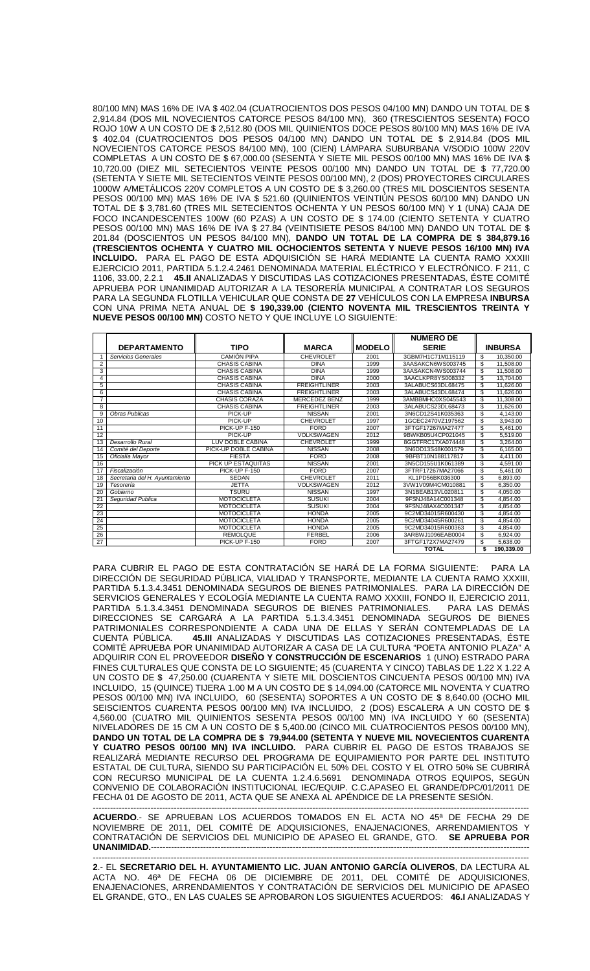80/100 MN) MAS 16% DE IVA \$ 402.04 (CUATROCIENTOS DOS PESOS 04/100 MN) DANDO UN TOTAL DE \$ 2,914.84 (DOS MIL NOVECIENTOS CATORCE PESOS 84/100 MN), 360 (TRESCIENTOS SESENTA) FOCO ROJO 10W A UN COSTO DE \$ 2,512.80 (DOS MIL QUINIENTOS DOCE PESOS 80/100 MN) MAS 16% DE IVA \$ 402.04 (CUATROCIENTOS DOS PESOS 04/100 MN) DANDO UN TOTAL DE \$ 2,914.84 (DOS MIL NOVECIENTOS CATORCE PESOS 84/100 MN), 100 (CIEN) LÁMPARA SUBURBANA V/SODIO 100W 220V COMPLETAS A UN COSTO DE \$ 67,000.00 (SESENTA Y SIETE MIL PESOS 00/100 MN) MAS 16% DE IVA \$ 10,720.00 (DIEZ MIL SETECIENTOS VEINTE PESOS 00/100 MN) DANDO UN TOTAL DE \$ 77,720.00 (SETENTA Y SIETE MIL SETECIENTOS VEINTE PESOS 00/100 MN), 2 (DOS) PROYECTORES CIRCULARES 1000W A/METÁLICOS 220V COMPLETOS A UN COSTO DE \$ 3,260.00 (TRES MIL DOSCIENTOS SESENTA PESOS 00/100 MN) MAS 16% DE IVA \$ 521.60 (QUINIENTOS VEINTIÚN PESOS 60/100 MN) DANDO UN TOTAL DE \$ 3,781.60 (TRES MIL SETECIENTOS OCHENTA Y UN PESOS 60/100 MN) Y 1 (UNA) CAJA DE FOCO INCANDESCENTES 100W (60 PZAS) A UN COSTO DE \$ 174.00 (CIENTO SETENTA Y CUATRO PESOS 00/100 MN) MAS 16% DE IVA \$ 27.84 (VEINTISIETE PESOS 84/100 MN) DANDO UN TOTAL DE \$ 201.84 (DOSCIENTOS UN PESOS 84/100 MN), **DANDO UN TOTAL DE LA COMPRA DE \$ 384,879.16 (TRESCIENTOS OCHENTA Y CUATRO MIL OCHOCIENTOS SETENTA Y NUEVE PESOS 16/100 MN) IVA INCLUIDO.** PARA EL PAGO DE ESTA ADQUISICIÓN SE HARÁ MEDIANTE LA CUENTA RAMO XXXIII EJERCICIO 2011, PARTIDA 5.1.2.4.2461 DENOMINADA MATERIAL ELÉCTRICO Y ELECTRÓNICO. F 211, C 1106, 33.00, 2.2.1 **45.II** ANALIZADAS Y DISCUTIDAS LAS COTIZACIONES PRESENTADAS, ÉSTE COMITÉ APRUEBA POR UNANIMIDAD AUTORIZAR A LA TESORERÍA MUNICIPAL A CONTRATAR LOS SEGUROS PARA LA SEGUNDA FLOTILLA VEHICULAR QUE CONSTA DE **27** VEHÍCULOS CON LA EMPRESA **INBURSA** CON UNA PRIMA NETA ANUAL DE **\$ 190,339.00 (CIENTO NOVENTA MIL TRESCIENTOS TREINTA Y NUEVE PESOS 00/100 MN)** COSTO NETO Y QUE INCLUYE LO SIGUIENTE:

|                |                                |                      |                     |               | <b>NUMERO DE</b>  |                  |
|----------------|--------------------------------|----------------------|---------------------|---------------|-------------------|------------------|
|                | <b>DEPARTAMENTO</b>            | TIPO                 | <b>MARCA</b>        | <b>MODELO</b> | <b>SERIE</b>      | <b>INBURSA</b>   |
|                | Servicios Generales            | <b>CAMIÓN PIPA</b>   | CHEVROLET           | 2001          | 3GBM7H1C71M115119 | \$<br>10.350.00  |
| $\overline{2}$ |                                | <b>CHASIS CABINA</b> | <b>DINA</b>         | 1999          | 3AASAKCN6WS003745 | \$<br>11,508.00  |
| 3              |                                | <b>CHASIS CABINA</b> | <b>DINA</b>         | 1999          | 3AASAKCN4WS003744 | \$<br>11,508.00  |
| 4              |                                | <b>CHASIS CABINA</b> | <b>DINA</b>         | 2000          | 3AACLKPR8YS008332 | \$<br>13.704.00  |
| 5              |                                | <b>CHASIS CABINA</b> | <b>FREIGHTLINER</b> | 2003          | 3ALABUCS63DL68475 | \$<br>11.626.00  |
| 6              |                                | <b>CHASIS CABINA</b> | <b>FREIGHTLINER</b> | 2003          | 3ALABUCS43DL68474 | \$<br>11.626.00  |
| $\overline{7}$ |                                | <b>CHASIS CORAZA</b> | MERCEDEZ BENZ       | 1999          | 3AMBBMHC0XS045543 | \$<br>11.308.00  |
| 8              |                                | <b>CHASIS CABINA</b> | <b>FREIGHTLINER</b> | 2003          | 3ALABUCS23DL68473 | \$<br>11.626.00  |
| 9              | <b>Obras Publicas</b>          | PICK-UP              | <b>NISSAN</b>       | 2001          | 3N6CD12S41K035363 | \$<br>4,143.00   |
| 10             |                                | PICK-UP              | <b>CHEVROLET</b>    | 1997          | 1GCEC2470VZ197562 | \$<br>3,943.00   |
| 11             |                                | PICK-UP F-150        | <b>FORD</b>         | 2007          | 3FTGF17267MA27477 | \$<br>5.461.00   |
| 12             |                                | PICK-UP              | <b>VOLKSWAGEN</b>   | 2012          | 9BWKB05U4CP021045 | \$<br>5.519.00   |
| 13             | Desarrollo Rural               | LUV DOBLE CABINA     | CHEVROLET           | 1999          | 8GGTFRC17XA074448 | \$<br>3.264.00   |
| 14             | Comité del Deporte             | PICK-UP DOBLE CABINA | <b>NISSAN</b>       | 2008          | 3N6DD13S48K001579 | \$<br>6.165.00   |
| 15             | Oficialía Mayor                | <b>FIESTA</b>        | <b>FORD</b>         | 2008          | 9BFBT10N188117817 | \$<br>4.411.00   |
| 16             |                                | PICK UP ESTAQUITAS   | <b>NISSAN</b>       | 2001          | 3N5CD155U1K061389 | S<br>4.591.00    |
| 17             | Fiscalización                  | PICK-UP F-150        | <b>FORD</b>         | 2007          | 3FTRF17267MA27066 | \$<br>5.461.00   |
| 18             | Secretaria del H. Ayuntamiento | <b>SEDAN</b>         | <b>CHEVROLET</b>    | 2011          | KL1PD56BK036300   | \$<br>6.893.00   |
| 19             | Tesorería                      | <b>JETTA</b>         | <b>VOLKSWAGEN</b>   | 2012          | 3VW1V09M4CM010881 | \$<br>6.350.00   |
| 20             | Gobierno                       | <b>TSURU</b>         | <b>NISSAN</b>       | 1997          | 3N1BEAB13VL020811 | \$<br>4.050.00   |
| 21             | Sequridad Publica              | <b>MOTOCICLETA</b>   | <b>SUSUKI</b>       | 2004          | 9FSNJ48A14C001348 | \$<br>4.854.00   |
| 22             |                                | <b>MOTOCICLETA</b>   | <b>SUSUKI</b>       | 2004          | 9FSNJ48AX4C001347 | \$<br>4.854.00   |
| 23             |                                | <b>MOTOCICLETA</b>   | <b>HONDA</b>        | 2005          | 9C2MD34015R600430 | \$<br>4.854.00   |
| 24             |                                | <b>MOTOCICLETA</b>   | <b>HONDA</b>        | 2005          | 9C2MD34045R600261 | \$<br>4.854.00   |
| 25             |                                | <b>MOTOCICLETA</b>   | <b>HONDA</b>        | 2005          | 9C2MD34015R600363 | \$<br>4.854.00   |
| 26             |                                | <b>REMOLQUE</b>      | <b>FERBEL</b>       | 2006          | 3ARBWJ1096EAB0004 | \$<br>6.924.00   |
| 27             |                                | PICK-UP F-150        | <b>FORD</b>         | 2007          | 3FTGF172X7MA27479 | \$<br>5.638.00   |
|                |                                |                      |                     |               | <b>TOTAL</b>      | \$<br>190.339.00 |

PARA CUBRIR EL PAGO DE ESTA CONTRATACIÓN SE HARÁ DE LA FORMA SIGUIENTE: PARA LA DIRECCIÓN DE SEGURIDAD PÚBLICA, VIALIDAD Y TRANSPORTE, MEDIANTE LA CUENTA RAMO XXXIII, PARTIDA 5.1.3.4.3451 DENOMINADA SEGUROS DE BIENES PATRIMONIALES. PARA LA DIRECCIÓN DE SERVICIOS GENERALES Y ECOLOGÍA MEDIANTE LA CUENTA RAMO XXXIII, FONDO II, EJERCICIO 2011, PARTIDA 5.1.3.4.3451 DENOMINADA SEGUROS DE BIENES PATRIMONIALES. PARA LAS DEMÁS DIRECCIONES SE CARGARÁ A LA PARTIDA 5.1.3.4.3451 DENOMINADA SEGUROS DE BIENES PATRIMONIALES CORRESPONDIENTE A CADA UNA DE ELLAS Y SERÁN CONTEMPLADAS DE LA CUENTA PÚBLICA. **45.III** ANALIZADAS Y DISCUTIDAS LAS COTIZACIONES PRESENTADAS, ÉSTE COMITÉ APRUEBA POR UNANIMIDAD AUTORIZAR A CASA DE LA CULTURA "POETA ANTONIO PLAZA" A ADQUIRIR CON EL PROVEEDOR **DISEÑO Y CONSTRUCCIÓN DE ESCENARIOS** 1 (UNO) ESTRADO PARA FINES CULTURALES QUE CONSTA DE LO SIGUIENTE; 45 (CUARENTA Y CINCO) TABLAS DE 1.22 X 1.22 A UN COSTO DE \$ 47,250.00 (CUARENTA Y SIETE MIL DOSCIENTOS CINCUENTA PESOS 00/100 MN) IVA INCLUIDO, 15 (QUINCE) TIJERA 1.00 M A UN COSTO DE \$ 14,094.00 (CATORCE MIL NOVENTA Y CUATRO PESOS 00/100 MN) IVA INCLUIDO, 60 (SESENTA) SOPORTES A UN COSTO DE \$ 8,640.00 (OCHO MIL SEISCIENTOS CUARENTA PESOS 00/100 MN) IVA INCLUIDO, 2 (DOS) ESCALERA A UN COSTO DE \$ 4,560.00 (CUATRO MIL QUINIENTOS SESENTA PESOS 00/100 MN) IVA INCLUIDO Y 60 (SESENTA) NIVELADORES DE 15 CM A UN COSTO DE \$ 5,400.00 (CINCO MIL CUATROCIENTOS PESOS 00/100 MN), **DANDO UN TOTAL DE LA COMPRA DE \$ 79,944.00 (SETENTA Y NUEVE MIL NOVECIENTOS CUARENTA Y CUATRO PESOS 00/100 MN) IVA INCLUIDO.** PARA CUBRIR EL PAGO DE ESTOS TRABAJOS SE REALIZARÁ MEDIANTE RECURSO DEL PROGRAMA DE EQUIPAMIENTO POR PARTE DEL INSTITUTO ESTATAL DE CULTURA, SIENDO SU PARTICIPACIÓN EL 50% DEL COSTO Y EL OTRO 50% SE CUBRIRÁ CON RECURSO MUNICIPAL DE LA CUENTA 1.2.4.6.5691 DENOMINADA OTROS EQUIPOS, SEGÚN CONVENIO DE COLABORACIÓN INSTITUCIONAL IEC/EQUIP. C.C.APASEO EL GRANDE/DPC/01/2011 DE FECHA 01 DE AGOSTO DE 2011, ACTA QUE SE ANEXA AL APÉNDICE DE LA PRESENTE SESIÓN.

------------------------------------------------------------------------------------------------------------------------------------------------------- **ACUERDO**.- SE APRUEBAN LOS ACUERDOS TOMADOS EN EL ACTA NO 45ª DE FECHA 29 DE NOVIEMBRE DE 2011, DEL COMITÉ DE ADQUISICIONES, ENAJENACIONES, ARRENDAMIENTOS Y CONTRATACIÓN DE SERVICIOS DEL MUNICIPIO DE APASEO EL GRANDE, GTO. **SE APRUEBA POR UNANIMIDAD.**-----------------------------------------------------------------------------------------------------------------------------------

------------------------------------------------------------------------------------------------------------------------------------------------------- **2**.- EL **SECRETARIO DEL H. AYUNTAMIENTO LIC. JUAN ANTONIO GARCÍA OLIVEROS**, DA LECTURA AL ACTA NO. 46ª DE FECHA 06 DE DICIEMBRE DE 2011, DEL COMITÉ DE ADQUISICIONES, ENAJENACIONES, ARRENDAMIENTOS Y CONTRATACIÓN DE SERVICIOS DEL MUNICIPIO DE APASEO EL GRANDE, GTO., EN LAS CUALES SE APROBARON LOS SIGUIENTES ACUERDOS: **46.I** ANALIZADAS Y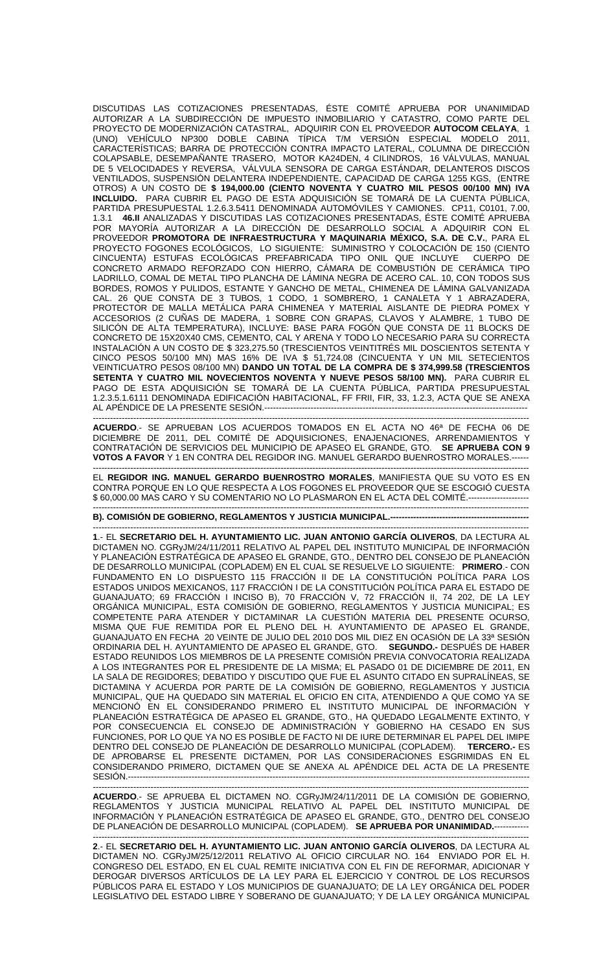DISCUTIDAS LAS COTIZACIONES PRESENTADAS, ÉSTE COMITÉ APRUEBA POR UNANIMIDAD AUTORIZAR A LA SUBDIRECCIÓN DE IMPUESTO INMOBILIARIO Y CATASTRO, COMO PARTE DEL PROYECTO DE MODERNIZACIÓN CATASTRAL, ADQUIRIR CON EL PROVEEDOR **AUTOCOM CELAYA**, 1 (UNO) VEHÍCULO NP300 DOBLE CABINA TÍPICA T/M VERSIÓN ESPECIAL MODELO 2011, CARACTERÍSTICAS; BARRA DE PROTECCIÓN CONTRA IMPACTO LATERAL, COLUMNA DE DIRECCIÓN COLAPSABLE, DESEMPAÑANTE TRASERO, MOTOR KA24DEN, 4 CILINDROS, 16 VÁLVULAS, MANUAL DE 5 VELOCIDADES Y REVERSA, VÁLVULA SENSORA DE CARGA ESTÁNDAR, DELANTEROS DISCOS VENTILADOS, SUSPENSIÓN DELANTERA INDEPENDIENTE, CAPACIDAD DE CARGA 1255 KGS, (ENTRE OTROS) A UN COSTO DE **\$ 194,000.00 (CIENTO NOVENTA Y CUATRO MIL PESOS 00/100 MN) IVA INCLUIDO.** PARA CUBRIR EL PAGO DE ESTA ADQUISICIÓN SE TOMARÁ DE LA CUENTA PÚBLICA, PARTIDA PRESUPUESTAL 1.2.6.3.5411 DENOMINADA AUTOMÓVILES Y CAMIONES. CP11, C0101, 7.00, 1.3.1 **46.II** ANALIZADAS Y DISCUTIDAS LAS COTIZACIONES PRESENTADAS, ÉSTE COMITÉ APRUEBA POR MAYORÍA AUTORIZAR A LA DIRECCIÓN DE DESARROLLO SOCIAL A ADQUIRIR CON EL PROVEEDOR **PROMOTORA DE INFRAESTRUCTURA Y MAQUINARIA MÉXICO, S.A. DE C.V.**, PARA EL PROYECTO FOGONES ECOLÓGICOS, LO SIGUIENTE: SUMINISTRO Y COLOCACIÓN DE 150 (CIENTO CINCUENTA) ESTUFAS ECOLÓGICAS PREFABRICADA TIPO ONIL QUE INCLUYE CUERPO DE CONCRETO ARMADO REFORZADO CON HIERRO, CÁMARA DE COMBUSTIÓN DE CERÁMICA TIPO LADRILLO, COMAL DE METAL TIPO PLANCHA DE LÁMINA NEGRA DE ACERO CAL. 10, CON TODOS SUS BORDES, ROMOS Y PULIDOS, ESTANTE Y GANCHO DE METAL, CHIMENEA DE LÁMINA GALVANIZADA CAL. 26 QUE CONSTA DE 3 TUBOS, 1 CODO, 1 SOMBRERO, 1 CANALETA Y 1 ABRAZADERA, PROTECTOR DE MALLA METÁLICA PARA CHIMENEA Y MATERIAL AISLANTE DE PIEDRA POMEX Y ACCESORIOS (2 CUÑAS DE MADERA, 1 SOBRE CON GRAPAS, CLAVOS Y ALAMBRE, 1 TUBO DE SILICÓN DE ALTA TEMPERATURA), INCLUYE: BASE PARA FOGÓN QUE CONSTA DE 11 BLOCKS DE CONCRETO DE 15X20X40 CMS, CEMENTO, CAL Y ARENA Y TODO LO NECESARIO PARA SU CORRECTA INSTALACIÓN A UN COSTO DE \$ 323,275.50 (TRESCIENTOS VEINTITRÉS MIL DOSCIENTOS SETENTA Y CINCO PESOS 50/100 MN) MAS 16% DE IVA \$ 51,724.08 (CINCUENTA Y UN MIL SETECIENTOS VEINTICUATRO PESOS 08/100 MN) **DANDO UN TOTAL DE LA COMPRA DE \$ 374,999.58 (TRESCIENTOS SETENTA Y CUATRO MIL NOVECIENTOS NOVENTA Y NUEVE PESOS 58/100 MN).** PARA CUBRIR EL PAGO DE ESTA ADQUISICIÓN SE TOMARÁ DE LA CUENTA PÚBLICA, PARTIDA PRESUPUESTAL 1.2.3.5.1.6111 DENOMINADA EDIFICACIÓN HABITACIONAL, FF FRII, FIR, 33, 1.2.3, ACTA QUE SE ANEXA AL APÉNDICE DE LA PRESENTE SESIÓN.-------------------------------------------------------------------------------------------

------------------------------------------------------------------------------------------------------------------------------------------------------- **ACUERDO**.- SE APRUEBAN LOS ACUERDOS TOMADOS EN EL ACTA NO 46ª DE FECHA 06 DE DICIEMBRE DE 2011, DEL COMITÉ DE ADQUISICIONES, ENAJENACIONES, ARRENDAMIENTOS Y CONTRATACIÓN DE SERVICIOS DEL MUNICIPIO DE APASEO EL GRANDE, GTO. **SE APRUEBA CON 9 VOTOS A FAVOR** Y 1 EN CONTRA DEL REGIDOR ING. MANUEL GERARDO BUENROSTRO MORALES.------

------------------------------------------------------------------------------------------------------------------------------------------------------- EL **REGIDOR ING. MANUEL GERARDO BUENROSTRO MORALES**, MANIFIESTA QUE SU VOTO ES EN CONTRA PORQUE EN LO QUE RESPECTA A LOS FOGONES EL PROVEEDOR QUE SE ESCOGIÓ CUESTA \$ 60,000.00 MAS CARO Y SU COMENTARIO NO LO PLASMARON EN EL ACTA DEL COMITÉ.---------------------

-------------------------------------------------------------------------------------------------------------------------------------------------------

**B). COMISIÓN DE GOBIERNO, REGLAMENTOS Y JUSTICIA MUNICIPAL.------------------------------------------------** 

------------------------------------------------------------------------------------------------------------------------------------------------------- **1**.- EL **SECRETARIO DEL H. AYUNTAMIENTO LIC. JUAN ANTONIO GARCÍA OLIVEROS**, DA LECTURA AL DICTAMEN NO. CGRyJM/24/11/2011 RELATIVO AL PAPEL DEL INSTITUTO MUNICIPAL DE INFORMACIÓN Y PLANEACIÓN ESTRATÉGICA DE APASEO EL GRANDE, GTO., DENTRO DEL CONSEJO DE PLANEACIÓN DE DESARROLLO MUNICIPAL (COPLADEM) EN EL CUAL SE RESUELVE LO SIGUIENTE: **PRIMERO**.- CON FUNDAMENTO EN LO DISPUESTO 115 FRACCIÓN II DE LA CONSTITUCIÓN POLÍTICA PARA LOS ESTADOS UNIDOS MEXICANOS, 117 FRACCIÓN I DE LA CONSTITUCIÓN POLÍTICA PARA EL ESTADO DE GUANAJUATO; 69 FRACCIÓN I INCISO B), 70 FRACCIÓN V, 72 FRACCIÓN II, 74 202, DE LA LEY ORGÁNICA MUNICIPAL, ESTA COMISIÓN DE GOBIERNO, REGLAMENTOS Y JUSTICIA MUNICIPAL; ES COMPETENTE PARA ATENDER Y DICTAMINAR LA CUESTIÓN MATERIA DEL PRESENTE OCURSO, MISMA QUE FUE REMITIDA POR EL PLENO DEL H. AYUNTAMIENTO DE APASEO EL GRANDE, GUANAJUATO EN FECHA 20 VEINTE DE JULIO DEL 2010 DOS MIL DIEZ EN OCASIÓN DE LA 33ª SESIÓN ORDINARIA DEL H. AYUNTAMIENTO DE APASEO EL GRANDE, GTO. **SEGUNDO.-** DESPUÉS DE HABER ESTADO REUNIDOS LOS MIEMBROS DE LA PRESENTE COMISIÓN PREVIA CONVOCATORIA REALIZADA A LOS INTEGRANTES POR EL PRESIDENTE DE LA MISMA; EL PASADO 01 DE DICIEMBRE DE 2011, EN LA SALA DE REGIDORES; DEBATIDO Y DISCUTIDO QUE FUE EL ASUNTO CITADO EN SUPRALÍNEAS, SE DICTAMINA Y ACUERDA POR PARTE DE LA COMISIÓN DE GOBIERNO, REGLAMENTOS Y JUSTICIA MUNICIPAL, QUE HA QUEDADO SIN MATERIAL EL OFICIO EN CITA, ATENDIENDO A QUE COMO YA SE MENCIONÓ EN EL CONSIDERANDO PRIMERO EL INSTITUTO MUNICIPAL DE INFORMACIÓN Y PLANEACIÓN ESTRATÉGICA DE APASEO EL GRANDE, GTO., HA QUEDADO LEGALMENTE EXTINTO, Y POR CONSECUENCIA EL CONSEJO DE ADMINISTRACIÓN Y GOBIERNO HA CESADO EN SUS FUNCIONES, POR LO QUE YA NO ES POSIBLE DE FACTO NI DE IURE DETERMINAR EL PAPEL DEL IMIPE DENTRO DEL CONSEJO DE PLANEACIÓN DE DESARROLLO MUNICIPAL (COPLADEM). **TERCERO.-** ES DE APROBARSE EL PRESENTE DICTAMEN, POR LAS CONSIDERACIONES ESGRIMIDAS EN EL CONSIDERANDO PRIMERO, DICTAMEN QUE SE ANEXA AL APÉNDICE DEL ACTA DE LA PRESENTE SESIÓN.-------------------------------------------------------------------------------------------------------------------------------------------

------------------------------------------------------------------------------------------------------------------------------------------------------- **ACUERDO**.- SE APRUEBA EL DICTAMEN NO. CGRyJM/24/11/2011 DE LA COMISIÓN DE GOBIERNO, REGLAMENTOS Y JUSTICIA MUNICIPAL RELATIVO AL PAPEL DEL INSTITUTO MUNICIPAL DE INFORMACIÓN Y PLANEACIÓN ESTRATÉGICA DE APASEO EL GRANDE, GTO., DENTRO DEL CONSEJO DE PLANEACIÓN DE DESARROLLO MUNICIPAL (COPLADEM). **SE APRUEBA POR UNANIMIDAD.**------------

-------------------------------------------------------------------------------------------------------------------------------------------------------

**2**.- EL **SECRETARIO DEL H. AYUNTAMIENTO LIC. JUAN ANTONIO GARCÍA OLIVEROS**, DA LECTURA AL DICTAMEN NO. CGRyJM/25/12/2011 RELATIVO AL OFICIO CIRCULAR NO. 164 ENVIADO POR EL H. CONGRESO DEL ESTADO, EN EL CUAL REMITE INICIATIVA CON EL FIN DE REFORMAR, ADICIONAR Y DEROGAR DIVERSOS ARTÍCULOS DE LA LEY PARA EL EJERCICIO Y CONTROL DE LOS RECURSOS PÚBLICOS PARA EL ESTADO Y LOS MUNICIPIOS DE GUANAJUATO; DE LA LEY ORGÁNICA DEL PODER LEGISLATIVO DEL ESTADO LIBRE Y SOBERANO DE GUANAJUATO; Y DE LA LEY ORGÁNICA MUNICIPAL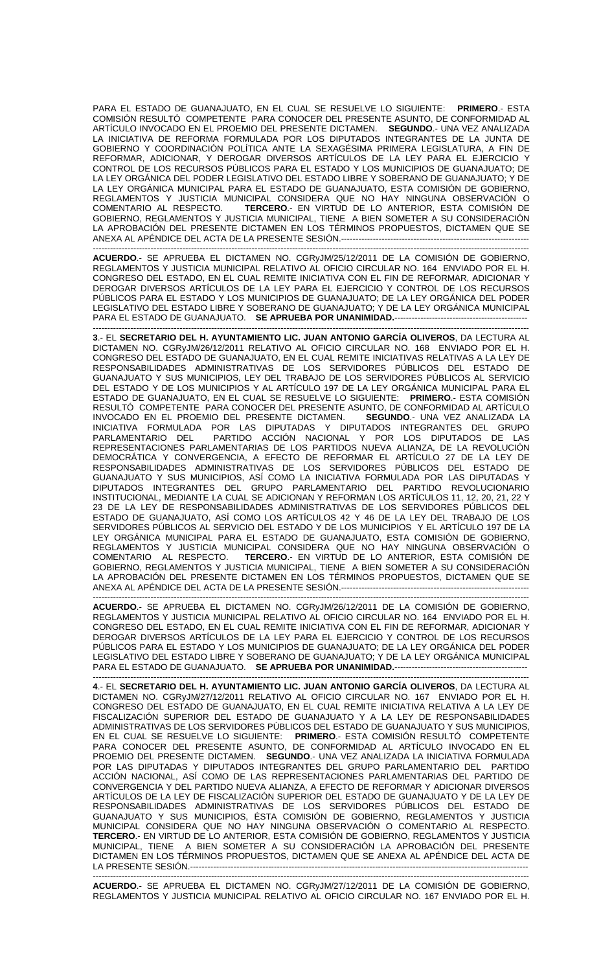PARA EL ESTADO DE GUANAJUATO, EN EL CUAL SE RESUELVE LO SIGUIENTE: **PRIMERO**.- ESTA COMISIÓN RESULTÓ COMPETENTE PARA CONOCER DEL PRESENTE ASUNTO, DE CONFORMIDAD AL ARTÍCULO INVOCADO EN EL PROEMIO DEL PRESENTE DICTAMEN. **SEGUNDO**.- UNA VEZ ANALIZADA LA INICIATIVA DE REFORMA FORMULADA POR LOS DIPUTADOS INTEGRANTES DE LA JUNTA DE GOBIERNO Y COORDINACIÓN POLÍTICA ANTE LA SEXAGÉSIMA PRIMERA LEGISLATURA, A FIN DE REFORMAR, ADICIONAR, Y DEROGAR DIVERSOS ARTÍCULOS DE LA LEY PARA EL EJERCICIO Y CONTROL DE LOS RECURSOS PÚBLICOS PARA EL ESTADO Y LOS MUNICIPIOS DE GUANAJUATO; DE LA LEY ORGÁNICA DEL PODER LEGISLATIVO DEL ESTADO LIBRE Y SOBERANO DE GUANAJUATO; Y DE LA LEY ORGÁNICA MUNICIPAL PARA EL ESTADO DE GUANAJUATO, ESTA COMISIÓN DE GOBIERNO, REGLAMENTOS Y JUSTICIA MUNICIPAL CONSIDERA QUE NO HAY NINGUNA OBSERVACIÓN O COMENTARIO AL RESPECTO. **TERCERO**.- EN VIRTUD DE LO ANTERIOR, ESTA COMISIÓN DE GOBIERNO, REGLAMENTOS Y JUSTICIA MUNICIPAL, TIENE A BIEN SOMETER A SU CONSIDERACIÓN LA APROBACIÓN DEL PRESENTE DICTAMEN EN LOS TÉRMINOS PROPUESTOS, DICTAMEN QUE SE ANEXA AL APÉNDICE DEL ACTA DE LA PRESENTE SESIÓN.-----------------------

------------------------------------------------------------------------------------------------------------------------------------------------------- **ACUERDO**.- SE APRUEBA EL DICTAMEN NO. CGRyJM/25/12/2011 DE LA COMISIÓN DE GOBIERNO, REGLAMENTOS Y JUSTICIA MUNICIPAL RELATIVO AL OFICIO CIRCULAR NO. 164 ENVIADO POR EL H. CONGRESO DEL ESTADO, EN EL CUAL REMITE INICIATIVA CON EL FIN DE REFORMAR, ADICIONAR Y DEROGAR DIVERSOS ARTÍCULOS DE LA LEY PARA EL EJERCICIO Y CONTROL DE LOS RECURSOS PÚBLICOS PARA EL ESTADO Y LOS MUNICIPIOS DE GUANAJUATO; DE LA LEY ORGÁNICA DEL PODER LEGISLATIVO DEL ESTADO LIBRE Y SOBERANO DE GUANAJUATO; Y DE LA LEY ORGÁNICA MUNICIPAL PARA EL ESTADO DE GUANAJUATO. **SE APRUEBA POR UNANIMIDAD.**----------------------------------------------------------------------------------------------------------------------------------------------------------

**3**.- EL **SECRETARIO DEL H. AYUNTAMIENTO LIC. JUAN ANTONIO GARCÍA OLIVEROS**, DA LECTURA AL DICTAMEN NO. CGRyJM/26/12/2011 RELATIVO AL OFICIO CIRCULAR NO. 168 ENVIADO POR EL H. CONGRESO DEL ESTADO DE GUANAJUATO, EN EL CUAL REMITE INICIATIVAS RELATIVAS A LA LEY DE RESPONSABILIDADES ADMINISTRATIVAS DE LOS SERVIDORES PÚBLICOS DEL ESTADO DE GUANAJUATO Y SUS MUNICIPIOS, LEY DEL TRABAJO DE LOS SERVIDORES PÚBLICOS AL SERVICIO DEL ESTADO Y DE LOS MUNICIPIOS Y AL ARTÍCULO 197 DE LA LEY ORGÁNICA MUNICIPAL PARA EL ESTADO DE GUANAJUATO, EN EL CUAL SE RESUELVE LO SIGUIENTE: **PRIMERO**.- ESTA COMISIÓN RESULTÓ COMPETENTE PARA CONOCER DEL PRESENTE ASUNTO, DE CONFORMIDAD AL ARTÍCULO<br>INVOCADO EN EL PROEMIO DEL PRESENTE DICTAMEN. SEGUNDO.- UNA VEZ ANALIZADA LA INVOCADO EN EL PROEMIO DEL PRESENTE DICTAMEN. INICIATIVA FORMULADA POR LAS DIPUTADAS Y DIPUTADOS INTEGRANTES DEL GRUPO PARLAMENTARIO DEL PARTIDO ACCIÓN NACIONAL Y POR LOS DIPUTADOS DE LAS REPRESENTACIONES PARLAMENTARIAS DE LOS PARTIDOS NUEVA ALIANZA, DE LA REVOLUCIÓN DEMOCRÁTICA Y CONVERGENCIA, A EFECTO DE REFORMAR EL ARTÍCULO 27 DE LA LEY DE RESPONSABILIDADES ADMINISTRATIVAS DE LOS SERVIDORES PÚBLICOS DEL ESTADO DE GUANAJUATO Y SUS MUNICIPIOS, ASÍ COMO LA INICIATIVA FORMULADA POR LAS DIPUTADAS Y DIPUTADOS INTEGRANTES DEL GRUPO PARLAMENTARIO DEL PARTIDO REVOLUCIONARIO INSTITUCIONAL, MEDIANTE LA CUAL SE ADICIONAN Y REFORMAN LOS ARTÍCULOS 11, 12, 20, 21, 22 Y 23 DE LA LEY DE RESPONSABILIDADES ADMINISTRATIVAS DE LOS SERVIDORES PÚBLICOS DEL ESTADO DE GUANAJUATO, ASÍ COMO LOS ARTÍCULOS 42 Y 46 DE LA LEY DEL TRABAJO DE LOS SERVIDORES PÚBLICOS AL SERVICIO DEL ESTADO Y DE LOS MUNICIPIOS Y EL ARTÍCULO 197 DE LA LEY ORGÁNICA MUNICIPAL PARA EL ESTADO DE GUANAJUATO, ESTA COMISIÓN DE GOBIERNO, REGLAMENTOS Y JUSTICIA MUNICIPAL CONSIDERA QUE NO HAY NINGUNA OBSERVACIÓN O<br>COMENTARIO AL RESPECTO. TERCERO.- EN VIRTUD DE LO ANTERIOR, ESTA COMISIÓN DE TERCERO.- EN VIRTUD DE LO ANTERIOR, ESTA COMISIÓN DE GOBIERNO, REGLAMENTOS Y JUSTICIA MUNICIPAL, TIENE A BIEN SOMETER A SU CONSIDERACIÓN LA APROBACIÓN DEL PRESENTE DICTAMEN EN LOS TÉRMINOS PROPUESTOS, DICTAMEN QUE SE ANEXA AL APÉNDICE DEL ACTA DE LA PRESENTE SESIÓN.-----------------------------------------------------------------

------------------------------------------------------------------------------------------------------------------------------------------------------- **ACUERDO**.- SE APRUEBA EL DICTAMEN NO. CGRyJM/26/12/2011 DE LA COMISIÓN DE GOBIERNO, REGLAMENTOS Y JUSTICIA MUNICIPAL RELATIVO AL OFICIO CIRCULAR NO. 164 ENVIADO POR EL H. CONGRESO DEL ESTADO, EN EL CUAL REMITE INICIATIVA CON EL FIN DE REFORMAR, ADICIONAR Y DEROGAR DIVERSOS ARTÍCULOS DE LA LEY PARA EL EJERCICIO Y CONTROL DE LOS RECURSOS PÚBLICOS PARA EL ESTADO Y LOS MUNICIPIOS DE GUANAJUATO; DE LA LEY ORGÁNICA DEL PODER LEGISLATIVO DEL ESTADO LIBRE Y SOBERANO DE GUANAJUATO; Y DE LA LEY ORGÁNICA MUNICIPAL PARA EL ESTADO DE GUANAJUATO. **SE APRUEBA POR UNANIMIDAD.**---------------------------------------------- -------------------------------------------------------------------------------------------------------------------------------------------------------

**4**.- EL **SECRETARIO DEL H. AYUNTAMIENTO LIC. JUAN ANTONIO GARCÍA OLIVEROS**, DA LECTURA AL DICTAMEN NO. CGRyJM/27/12/2011 RELATIVO AL OFICIO CIRCULAR NO. 167 ENVIADO POR EL H. CONGRESO DEL ESTADO DE GUANAJUATO, EN EL CUAL REMITE INICIATIVA RELATIVA A LA LEY DE FISCALIZACIÓN SUPERIOR DEL ESTADO DE GUANAJUATO Y A LA LEY DE RESPONSABILIDADES ADMINISTRATIVAS DE LOS SERVIDORES PÚBLICOS DEL ESTADO DE GUANAJUATO Y SUS MUNICIPIOS, EN EL CUAL SE RESUELVE LO SIGUIENTE: **PRIMERO**.- ESTA COMISIÓN RESULTÓ COMPETENTE PARA CONOCER DEL PRESENTE ASUNTO, DE CONFORMIDAD AL ARTÍCULO INVOCADO EN EL PROEMIO DEL PRESENTE DICTAMEN. **SEGUNDO**.- UNA VEZ ANALIZADA LA INICIATIVA FORMULADA POR LAS DIPUTADAS Y DIPUTADOS INTEGRANTES DEL GRUPO PARLAMENTARIO DEL PARTIDO ACCIÓN NACIONAL, ASÍ COMO DE LAS REPRESENTACIONES PARLAMENTARIAS DEL PARTIDO DE CONVERGENCIA Y DEL PARTIDO NUEVA ALIANZA, A EFECTO DE REFORMAR Y ADICIONAR DIVERSOS ARTÍCULOS DE LA LEY DE FISCALIZACIÓN SUPERIOR DEL ESTADO DE GUANAJUATO Y DE LA LEY DE RESPONSABILIDADES ADMINISTRATIVAS DE LOS SERVIDORES PÚBLICOS DEL ESTADO DE GUANAJUATO Y SUS MUNICIPIOS, ÉSTA COMISIÓN DE GOBIERNO, REGLAMENTOS Y JUSTICIA MUNICIPAL CONSIDERA QUE NO HAY NINGUNA OBSERVACIÓN O COMENTARIO AL RESPECTO. **TERCERO**.- EN VIRTUD DE LO ANTERIOR, ESTA COMISIÓN DE GOBIERNO, REGLAMENTOS Y JUSTICIA MUNICIPAL, TIENE A BIEN SOMETER A SU CONSIDERACIÓN LA APROBACIÓN DEL PRESENTE DICTAMEN EN LOS TÉRMINOS PROPUESTOS, DICTAMEN QUE SE ANEXA AL APÉNDICE DEL ACTA DE LA PRESENTE SESIÓN.---

------------------------------------------------------------------------------------------------------------------------------------------------------- **ACUERDO**.- SE APRUEBA EL DICTAMEN NO. CGRyJM/27/12/2011 DE LA COMISIÓN DE GOBIERNO, REGLAMENTOS Y JUSTICIA MUNICIPAL RELATIVO AL OFICIO CIRCULAR NO. 167 ENVIADO POR EL H.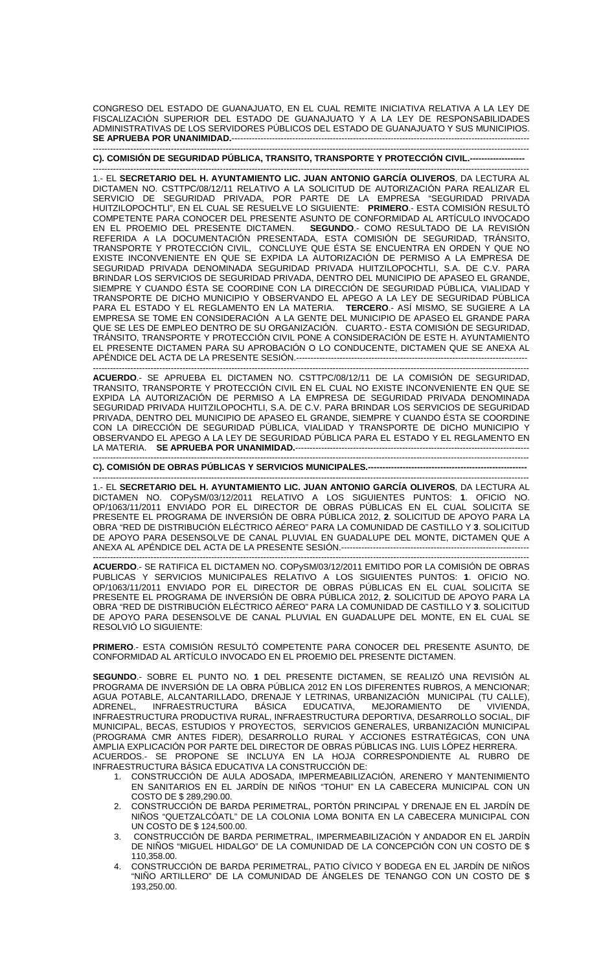CONGRESO DEL ESTADO DE GUANAJUATO, EN EL CUAL REMITE INICIATIVA RELATIVA A LA LEY DE FISCALIZACIÓN SUPERIOR DEL ESTADO DE GUANAJUATO Y A LA LEY DE RESPONSABILIDADES ADMINISTRATIVAS DE LOS SERVIDORES PÚBLICOS DEL ESTADO DE GUANAJUATO Y SUS MUNICIPIOS. **SE APRUEBA POR UNANIMIDAD.**-------------------------------------------------------------------------------------------------------

## ------------------------------------------------------------------------------------------------------------------------------------------------------- **C). COMISIÓN DE SEGURIDAD PÚBLICA, TRANSITO, TRANSPORTE Y PROTECCIÓN CIVIL.-------------------**

------------------------------------------------------------------------------------------------------------------------------------------------------- 1.- EL **SECRETARIO DEL H. AYUNTAMIENTO LIC. JUAN ANTONIO GARCÍA OLIVEROS**, DA LECTURA AL DICTAMEN NO. CSTTPC/08/12/11 RELATIVO A LA SOLICITUD DE AUTORIZACIÓN PARA REALIZAR EL SERVICIO DE SEGURIDAD PRIVADA, POR PARTE DE LA EMPRESA "SEGURIDAD PRIVADA HUITZILOPOCHTLI", EN EL CUAL SE RESUELVE LO SIGUIENTE: **PRIMERO**.- ESTA COMISIÓN RESULTÓ COMPETENTE PARA CONOCER DEL PRESENTE ASUNTO DE CONFORMIDAD AL ARTÍCULO INVOCADO EN EL PROEMIO DEL PRESENTE DICTAMEN. **SEGUNDO**.- COMO RESULTADO DE LA REVISIÓN REFERIDA A LA DOCUMENTACIÓN PRESENTADA, ESTA COMISIÓN DE SEGURIDAD, TRÁNSITO, TRANSPORTE Y PROTECCIÓN CIVIL, CONCLUYE QUE ÉSTA SE ENCUENTRA EN ORDEN Y QUE NO EXISTE INCONVENIENTE EN QUE SE EXPIDA LA AUTORIZACIÓN DE PERMISO A LA EMPRESA DE SEGURIDAD PRIVADA DENOMINADA SEGURIDAD PRIVADA HUITZILOPOCHTLI, S.A. DE C.V. PARA BRINDAR LOS SERVICIOS DE SEGURIDAD PRIVADA, DENTRO DEL MUNICIPIO DE APASEO EL GRANDE, SIEMPRE Y CUANDO ÉSTA SE COORDINE CON LA DIRECCIÓN DE SEGURIDAD PÚBLICA, VIALIDAD Y TRANSPORTE DE DICHO MUNICIPIO Y OBSERVANDO EL APEGO A LA LEY DE SEGURIDAD PÚBLICA PARA EL ESTADO Y EL REGLAMENTO EN LA MATERIA. **TERCERO**.- ASÍ MISMO, SE SUGIERE A LA EMPRESA SE TOME EN CONSIDERACIÓN A LA GENTE DEL MUNICIPIO DE APASEO EL GRANDE PARA QUE SE LES DE EMPLEO DENTRO DE SU ORGANIZACIÓN. CUARTO.- ESTA COMISIÓN DE SEGURIDAD, TRÁNSITO, TRANSPORTE Y PROTECCIÓN CIVIL PONE A CONSIDERACIÓN DE ESTE H. AYUNTAMIENTO EL PRESENTE DICTAMEN PARA SU APROBACIÓN O LO CONDUCENTE, DICTAMEN QUE SE ANEXA AL APÉNDICE DEL ACTA DE LA PRESENTE SESIÓN.--------------------------------------------------------------------------------

------------------------------------------------------------------------------------------------------------------------------------------------------- **ACUERDO**.- SE APRUEBA EL DICTAMEN NO. CSTTPC/08/12/11 DE LA COMISIÓN DE SEGURIDAD, TRANSITO, TRANSPORTE Y PROTECCIÓN CIVIL EN EL CUAL NO EXISTE INCONVENIENTE EN QUE SE EXPIDA LA AUTORIZACIÓN DE PERMISO A LA EMPRESA DE SEGURIDAD PRIVADA DENOMINADA SEGURIDAD PRIVADA HUITZILOPOCHTLI, S.A. DE C.V. PARA BRINDAR LOS SERVICIOS DE SEGURIDAD PRIVADA, DENTRO DEL MUNICIPIO DE APASEO EL GRANDE, SIEMPRE Y CUANDO ÉSTA SE COORDINE CON LA DIRECCIÓN DE SEGURIDAD PÚBLICA, VIALIDAD Y TRANSPORTE DE DICHO MUNICIPIO Y OBSERVANDO EL APEGO A LA LEY DE SEGURIDAD PÚBLICA PARA EL ESTADO Y EL REGLAMENTO EN LA MATERIA. **SE APRUEBA POR UNANIMIDAD.**--------------------------------------------------------------------------------- -------------------------------------------------------------------------------------------------------------------------------------------------------

**C). COMISIÓN DE OBRAS PÚBLICAS Y SERVICIOS MUNICIPALES.-------------------------------------------------------** 

------------------------------------------------------------------------------------------------------------------------------------------------------- 1.- EL **SECRETARIO DEL H. AYUNTAMIENTO LIC. JUAN ANTONIO GARCÍA OLIVEROS**, DA LECTURA AL DICTAMEN NO. COPySM/03/12/2011 RELATIVO A LOS SIGUIENTES PUNTOS: **1**. OFICIO NO. OP/1063/11/2011 ENVIADO POR EL DIRECTOR DE OBRAS PÚBLICAS EN EL CUAL SOLICITA SE PRESENTE EL PROGRAMA DE INVERSIÓN DE OBRA PÚBLICA 2012, **2**. SOLICITUD DE APOYO PARA LA OBRA "RED DE DISTRIBUCIÓN ELÉCTRICO AÉREO" PARA LA COMUNIDAD DE CASTILLO Y **3**. SOLICITUD DE APOYO PARA DESENSOLVE DE CANAL PLUVIAL EN GUADALUPE DEL MONTE, DICTAMEN QUE A ANEXA AL APÉNDICE DEL ACTA DE LA PRESENTE SESIÓN.------------------

------------------------------------------------------------------------------------------------------------------------------------------------------- **ACUERDO**.- SE RATIFICA EL DICTAMEN NO. COPySM/03/12/2011 EMITIDO POR LA COMISIÓN DE OBRAS PUBLICAS Y SERVICIOS MUNICIPALES RELATIVO A LOS SIGUIENTES PUNTOS: **1**. OFICIO NO. OP/1063/11/2011 ENVIADO POR EL DIRECTOR DE OBRAS PÚBLICAS EN EL CUAL SOLICITA SE PRESENTE EL PROGRAMA DE INVERSIÓN DE OBRA PÚBLICA 2012, **2**. SOLICITUD DE APOYO PARA LA OBRA "RED DE DISTRIBUCIÓN ELÉCTRICO AÉREO" PARA LA COMUNIDAD DE CASTILLO Y **3**. SOLICITUD DE APOYO PARA DESENSOLVE DE CANAL PLUVIAL EN GUADALUPE DEL MONTE, EN EL CUAL SE RESOLVIÓ LO SIGUIENTE:

**PRIMERO**.- ESTA COMISIÓN RESULTÓ COMPETENTE PARA CONOCER DEL PRESENTE ASUNTO, DE CONFORMIDAD AL ARTÍCULO INVOCADO EN EL PROEMIO DEL PRESENTE DICTAMEN.

**SEGUNDO**.- SOBRE EL PUNTO NO. **1** DEL PRESENTE DICTAMEN, SE REALIZÓ UNA REVISIÓN AL PROGRAMA DE INVERSIÓN DE LA OBRA PÚBLICA 2012 EN LOS DIFERENTES RUBROS, A MENCIONAR; AGUA POTABLE, ALCANTARILLADO, DRENAJE Y LETRINAS, URBANIZACIÓN MUNICIPAL (TU CALLE),<br>ADRENEL, INFRAESTRUCTURA BÁSICA EDUCATIVA, MEJORAMIENTO DE VIVIENDA, ADRENEL, INFRAESTRUCTURA BÁSICA EDUCATIVA, MEJORAMIENTO DE VIVIENDA, INFRAESTRUCTURA PRODUCTIVA RURAL, INFRAESTRUCTURA DEPORTIVA, DESARROLLO SOCIAL, DIF MUNICIPAL, BECAS, ESTUDIOS Y PROYECTOS, SERVICIOS GENERALES, URBANIZACIÓN MUNICIPAL (PROGRAMA CMR ANTES FIDER), DESARROLLO RURAL Y ACCIONES ESTRATÉGICAS, CON UNA AMPLIA EXPLICACIÓN POR PARTE DEL DIRECTOR DE OBRAS PÚBLICAS ING. LUIS LÓPEZ HERRERA. ACUERDOS.- SE PROPONE SE INCLUYA EN LA HOJA CORRESPONDIENTE AL RUBRO DE INFRAESTRUCTURA BÁSICA EDUCATIVA LA CONSTRUCCIÓN DE:

- 1. CONSTRUCCIÓN DE AULA ADOSADA, IMPERMEABILIZACIÓN, ARENERO Y MANTENIMIENTO EN SANITARIOS EN EL JARDÍN DE NIÑOS "TOHUI" EN LA CABECERA MUNICIPAL CON UN COSTO DE \$ 289,290.00.
- 2. CONSTRUCCIÓN DE BARDA PERIMETRAL, PORTÓN PRINCIPAL Y DRENAJE EN EL JARDÍN DE NIÑOS "QUETZALCÓATL" DE LA COLONIA LOMA BONITA EN LA CABECERA MUNICIPAL CON UN COSTO DE \$ 124,500.00.
- 3. CONSTRUCCIÓN DE BARDA PERIMETRAL, IMPERMEABILIZACIÓN Y ANDADOR EN EL JARDÍN DE NIÑOS "MIGUEL HIDALGO" DE LA COMUNIDAD DE LA CONCEPCIÓN CON UN COSTO DE \$ 110,358.00.
- 4. CONSTRUCCIÓN DE BARDA PERIMETRAL, PATIO CÍVICO Y BODEGA EN EL JARDÍN DE NIÑOS "NIÑO ARTILLERO" DE LA COMUNIDAD DE ÁNGELES DE TENANGO CON UN COSTO DE \$ 193,250.00.